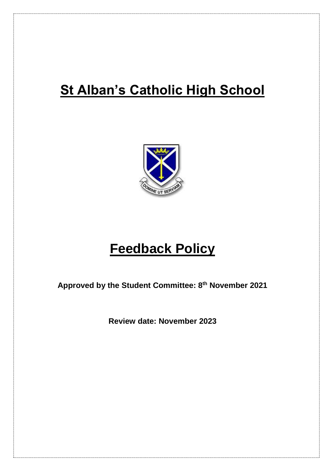## **St Alban's Catholic High School**



# **Feedback Policy**

**Approved by the Student Committee: 8 th November 2021**

**Review date: November 2023**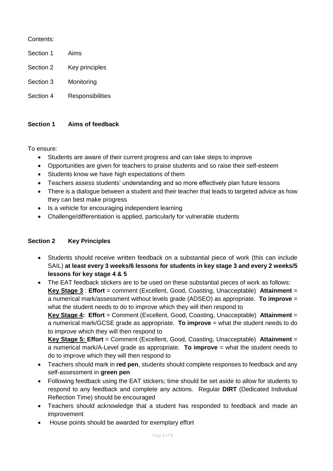Contents:

- Section 1 Aims
- Section 2 Key principles
- Section 3 Monitoring
- Section 4 Responsibilities

### **Section 1 Aims of feedback**

To ensure:

- Students are aware of their current progress and can take steps to improve
- Opportunities are given for teachers to praise students and so raise their self-esteem
- Students know we have high expectations of them
- Teachers assess students' understanding and so more effectively plan future lessons
- There is a dialogue between a student and their teacher that leads to targeted advice as how they can best make progress
- Is a vehicle for encouraging independent learning
- Challenge/differentiation is applied, particularly for vulnerable students

### **Section 2 Key Principles**

- Students should receive written feedback on a substantial piece of work (this can include SAIL) **at least every 3 weeks/6 lessons for students in key stage 3 and every 2 weeks/5 lessons for key stage 4 & 5**
- The EAT feedback stickers are to be used on these substantial pieces of work as follows: **Key Stage 3** : **Effort** = comment (Excellent, Good, Coasting, Unacceptable) **Attainment** = a numerical mark/assessment without levels grade (ADSEO) as appropriate. **To improve** = what the student needs to do to improve which they will then respond to

**Key Stage 4: Effort** = Comment (Excellent, Good, Coasting, Unacceptable) **Attainment** = a numerical mark/GCSE grade as appropriate. **To improve** = what the student needs to do to improve which they will then respond to

**Key Stage 5: Effort** = Comment (Excellent, Good, Coasting, Unacceptable) **Attainment** = a numerical mark/A-Level grade as appropriate. **To improve** = what the student needs to do to improve which they will then respond to

- Teachers should mark in **red pen**, students should complete responses to feedback and any self-assessment in **green pen**
- Following feedback using the EAT stickers; time should be set aside to allow for students to respond to any feedback and complete any actions. Regular **DIRT** (Dedicated Individual Reflection Time) should be encouraged
- Teachers should acknowledge that a student has responded to feedback and made an improvement
- House points should be awarded for exemplary effort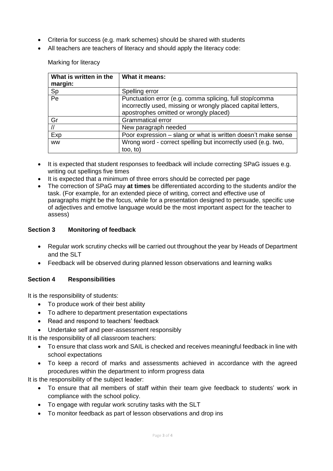- Criteria for success (e.g. mark schemes) should be shared with students
- All teachers are teachers of literacy and should apply the literacy code:

Marking for literacy

| What is written in the | What it means:                                                |
|------------------------|---------------------------------------------------------------|
| margin:                |                                                               |
| $\frac{Sp}{Pe}$        | Spelling error                                                |
|                        | Punctuation error (e.g. comma splicing, full stop/comma       |
|                        | incorrectly used, missing or wrongly placed capital letters,  |
|                        | apostrophes omitted or wrongly placed)                        |
| Gr                     | <b>Grammatical error</b>                                      |
| $\sqrt{}$              | New paragraph needed                                          |
| Exp                    | Poor expression – slang or what is written doesn't make sense |
| <b>WW</b>              | Wrong word - correct spelling but incorrectly used (e.g. two, |
|                        | too, to)                                                      |

- It is expected that student responses to feedback will include correcting SPaG issues e.g. writing out spellings five times
- It is expected that a minimum of three errors should be corrected per page
- The correction of SPaG may **at times** be differentiated according to the students and/or the task. (For example, for an extended piece of writing, correct and effective use of paragraphs might be the focus, while for a presentation designed to persuade, specific use of adjectives and emotive language would be the most important aspect for the teacher to assess)

#### **Section 3 Monitoring of feedback**

- Regular work scrutiny checks will be carried out throughout the year by Heads of Department and the SLT
- Feedback will be observed during planned lesson observations and learning walks

### **Section 4 Responsibilities**

It is the responsibility of students:

- To produce work of their best ability
- To adhere to department presentation expectations
- Read and respond to teachers' feedback
- Undertake self and peer-assessment responsibly

It is the responsibility of all classroom teachers:

- To ensure that class work and SAIL is checked and receives meaningful feedback in line with school expectations
- To keep a record of marks and assessments achieved in accordance with the agreed procedures within the department to inform progress data

It is the responsibility of the subject leader:

- To ensure that all members of staff within their team give feedback to students' work in compliance with the school policy.
- To engage with regular work scrutiny tasks with the SLT
- To monitor feedback as part of lesson observations and drop ins